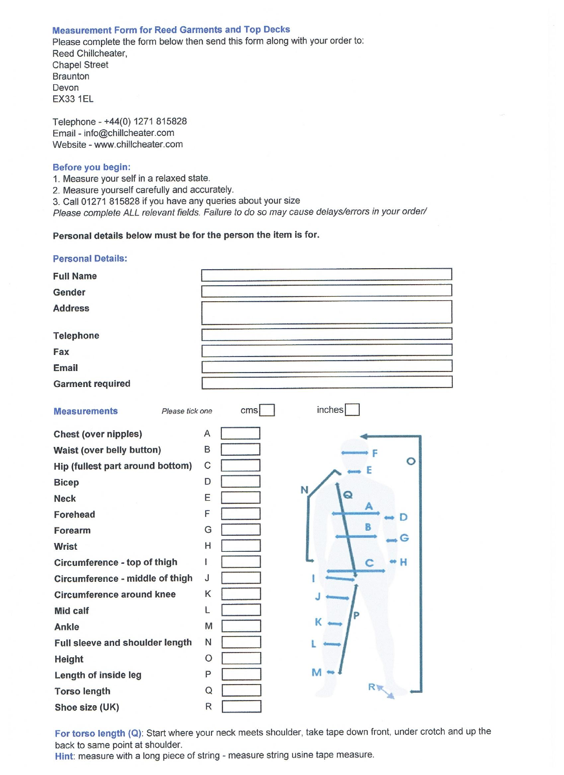### **Measurement Form for Reed Garments and Top Decks**

Please complete the form below then send this form along with your order to: Reed Chillcheater, **Chapel Street Braunton** Devon **EX33 1EL** 

Telephone - +44(0) 1271 815828 Email - info@chillcheater.com Website - www.chillcheater.com

### Before you begin:

1. Measure your self in a relaxed state.

2. Measure yourself carefully and accurately.

3. Call 01271 815828 if you have any queries about your size

Please complete ALL relevant fields. Failure to do so may cause delays/errors in your order/

# Personal details below must be for the person the item is for.

| <b>Personal Details:</b>               |                           |
|----------------------------------------|---------------------------|
| <b>Full Name</b>                       |                           |
| Gender                                 |                           |
| <b>Address</b>                         |                           |
|                                        |                           |
| <b>Telephone</b>                       |                           |
| Fax                                    |                           |
| <b>Email</b>                           |                           |
| <b>Garment required</b>                |                           |
| <b>Measurements</b><br>Please tick one | inches<br>cm <sub>s</sub> |
| <b>Chest (over nipples)</b>            | Α                         |
| Waist (over belly button)              | B                         |
| Hip (fullest part around bottom)       | $\circ$<br>С              |
| <b>Bicep</b>                           | D<br>N                    |
| <b>Neck</b>                            | E                         |
| Forehead                               | F                         |
| Forearm                                | B<br>G<br>œ               |
| <b>Wrist</b>                           | Η                         |
| Circumference - top of thigh           | ł<br>н                    |
| Circumference - middle of thigh        | J                         |
| <b>Circumference around knee</b>       | Κ                         |
| <b>Mid calf</b>                        | L                         |
| Ankle                                  | к<br>M                    |
| Full sleeve and shoulder length        | $\mathsf{N}$              |
| Height                                 | $\circ$                   |
| Length of inside leg                   | M<br>P                    |
| <b>Torso length</b>                    | Ry<br>Q                   |
| Shoe size (UK)                         | $\mathsf{R}$              |

For torso length (Q): Start where your neck meets shoulder, take tape down front, under crotch and up the back to same point at shoulder.

Hint: measure with a long piece of string - measure string usine tape measure.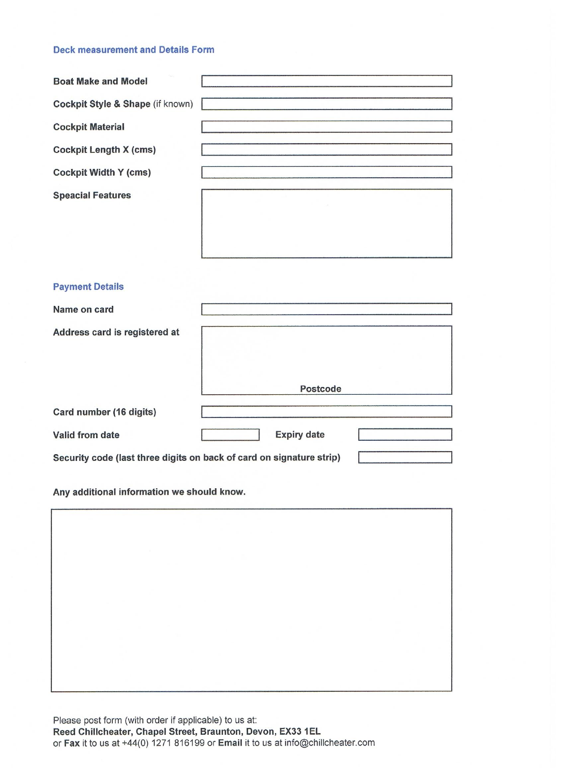### **Deck measurement and Details Form**

| <b>Boat Make and Model</b>       |  |
|----------------------------------|--|
| Cockpit Style & Shape (if known) |  |
| <b>Cockpit Material</b>          |  |
| <b>Cockpit Length X (cms)</b>    |  |
| <b>Cockpit Width Y (cms)</b>     |  |
| <b>Speacial Features</b>         |  |
|                                  |  |
|                                  |  |
|                                  |  |

## **Payment Details**

| Name on card                  |                                                                      |  |
|-------------------------------|----------------------------------------------------------------------|--|
| Address card is registered at |                                                                      |  |
|                               | Postcode                                                             |  |
| Card number (16 digits)       |                                                                      |  |
| Valid from date               | <b>Expiry date</b>                                                   |  |
|                               | Security code (last three digits on back of card on signature strip) |  |

Any additional information we should know.

| $\sim$ |  |  |
|--------|--|--|
|        |  |  |
|        |  |  |
|        |  |  |

Please post form (with order if applicable) to us at: Reed Chillcheater, Chapel Street, Braunton, Devon, EX33 1EL or Fax it to us at +44(0) 1271 816199 or Email it to us at info@chillcheater.com